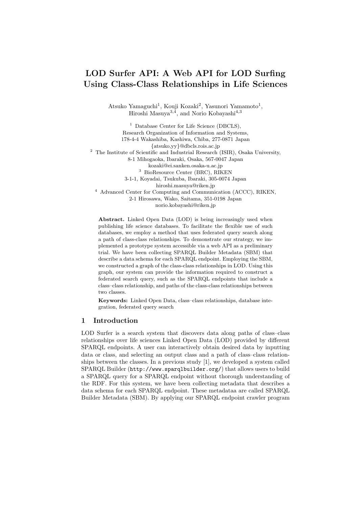## LOD Surfer API: A Web API for LOD Surfing Using Class-Class Relationships in Life Sciences

Atsuko Yamaguchi<sup>1</sup>, Kouji Kozaki<sup>2</sup>, Yasunori Yamamoto<sup>1</sup>, Hiroshi Masuya<sup>3,4</sup>, and Norio Kobayashi<sup>4,3</sup>

<sup>1</sup> Database Center for Life Science (DBCLS), Research Organization of Information and Systems, 178-4-4 Wakashiba, Kashiwa, Chiba, 277-0871 Japan {atsuko,yy}@dbcls.rois.ac.jp <sup>2</sup> The Institute of Scientific and Industrial Research (ISIR), Osaka University, 8-1 Mihogaoka, Ibaraki, Osaka, 567-0047 Japan kozaki@ei.sanken.osaka-u.ac.jp <sup>3</sup> BioResource Center (BRC), RIKEN 3-1-1, Koyadai, Tsukuba, Ibaraki, 305-0074 Japan hiroshi.masuya@riken.jp <sup>4</sup> Advanced Center for Computing and Communication (ACCC), RIKEN, 2-1 Hirosawa, Wako, Saitama, 351-0198 Japan norio.kobayashi@riken.jp

Abstract. Linked Open Data (LOD) is being increasingly used when publishing life science databases. To facilitate the flexible use of such databases, we employ a method that uses federated query search along a path of class-class relationships. To demonstrate our strategy, we implemented a prototype system accessible via a web API as a preliminary trial. We have been collecting SPARQL Builder Metadata (SBM) that describe a data schema for each SPARQL endpoint. Employing the SBM, we constructed a graph of the class-class relationships in LOD. Using this graph, our system can provide the information required to construct a federated search query, such as the SPARQL endpoints that include a class–class relationship, and paths of the class-class relationships between two classes.

Keywords: Linked Open Data, class–class relationships, database integration, federated query search

## 1 Introduction

LOD Surfer is a search system that discovers data along paths of class–class relationships over life sciences Linked Open Data (LOD) provided by different SPARQL endpoints. A user can interactively obtain desired data by inputting data or class, and selecting an output class and a path of class–class relationships between the classes. In a previous study [1], we developed a system called SPARQL Builder (http://www.sparqlbuilder.org/) that allows users to build a SPARQL query for a SPARQL endpoint without thorough understanding of the RDF. For this system, we have been collecting metadata that describes a data schema for each SPARQL endpoint. These metadataa are called SPARQL Builder Metadata (SBM). By applying our SPARQL endpoint crawler program